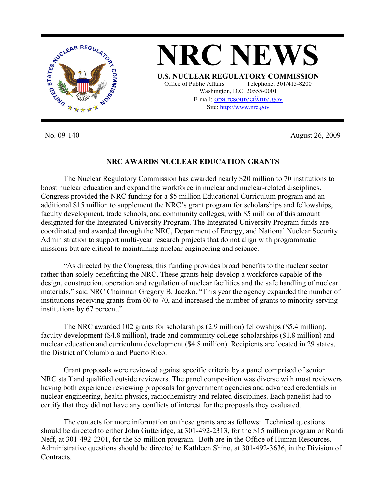

No. 09-140 August 26, 2009

#### **NRC AWARDS NUCLEAR EDUCATION GRANTS**

 The Nuclear Regulatory Commission has awarded nearly \$20 million to 70 institutions to boost nuclear education and expand the workforce in nuclear and nuclear-related disciplines. Congress provided the NRC funding for a \$5 million Educational Curriculum program and an additional \$15 million to supplement the NRC's grant program for scholarships and fellowships, faculty development, trade schools, and community colleges, with \$5 million of this amount designated for the Integrated University Program. The Integrated University Program funds are coordinated and awarded through the NRC, Department of Energy, and National Nuclear Security Administration to support multi-year research projects that do not align with programmatic missions but are critical to maintaining nuclear engineering and science.

 "As directed by the Congress, this funding provides broad benefits to the nuclear sector rather than solely benefitting the NRC. These grants help develop a workforce capable of the design, construction, operation and regulation of nuclear facilities and the safe handling of nuclear materials," said NRC Chairman Gregory B. Jaczko. "This year the agency expanded the number of institutions receiving grants from 60 to 70, and increased the number of grants to minority serving institutions by 67 percent."

 The NRC awarded 102 grants for scholarships (2.9 million) fellowships (\$5.4 million), faculty development (\$4.8 million), trade and community college scholarships (\$1.8 million) and nuclear education and curriculum development (\$4.8 million). Recipients are located in 29 states, the District of Columbia and Puerto Rico.

 Grant proposals were reviewed against specific criteria by a panel comprised of senior NRC staff and qualified outside reviewers. The panel composition was diverse with most reviewers having both experience reviewing proposals for government agencies and advanced credentials in nuclear engineering, health physics, radiochemistry and related disciplines. Each panelist had to certify that they did not have any conflicts of interest for the proposals they evaluated.

 The contacts for more information on these grants are as follows: Technical questions should be directed to either John Gutteridge, at 301-492-2313, for the \$15 million program or Randi Neff, at 301-492-2301, for the \$5 million program. Both are in the Office of Human Resources. Administrative questions should be directed to Kathleen Shino, at 301-492-3636, in the Division of Contracts.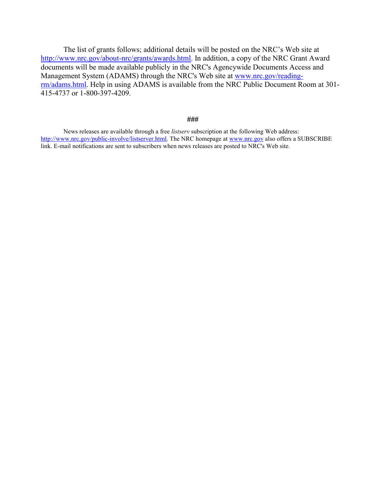The list of grants follows; additional details will be posted on the NRC's Web site at http://www.nrc.gov/about-nrc/grants/awards.html. In addition, a copy of the NRC Grant Award documents will be made available publicly in the NRC's Agencywide Documents Access and Management System (ADAMS) through the NRC's Web site at www.nrc.gov/readingrm/adams.html. Help in using ADAMS is available from the NRC Public Document Room at 301- 415-4737 or 1-800-397-4209.

#### **###**

News releases are available through a free *listserv* subscription at the following Web address: http://www.nrc.gov/public-involve/listserver.html. The NRC homepage at www.nrc.gov also offers a SUBSCRIBE link. E-mail notifications are sent to subscribers when news releases are posted to NRC's Web site.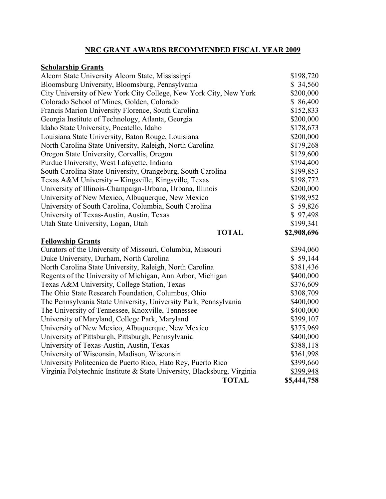# **NRC GRANT AWARDS RECOMMENDED FISCAL YEAR 2009**

## **Scholarship Grants**

| Alcorn State University Alcorn State, Mississippi                       | \$198,720   |
|-------------------------------------------------------------------------|-------------|
| Bloomsburg University, Bloomsburg, Pennsylvania                         | \$34,560    |
| City University of New York City College, New York City, New York       | \$200,000   |
| Colorado School of Mines, Golden, Colorado                              | \$86,400    |
| Francis Marion University Florence, South Carolina                      | \$152,833   |
| Georgia Institute of Technology, Atlanta, Georgia                       | \$200,000   |
| Idaho State University, Pocatello, Idaho                                | \$178,673   |
| Louisiana State University, Baton Rouge, Louisiana                      | \$200,000   |
| North Carolina State University, Raleigh, North Carolina                | \$179,268   |
| Oregon State University, Corvallis, Oregon                              | \$129,600   |
| Purdue University, West Lafayette, Indiana                              | \$194,400   |
| South Carolina State University, Orangeburg, South Carolina             | \$199,853   |
| Texas A&M University - Kingsville, Kingsville, Texas                    | \$198,772   |
| University of Illinois-Champaign-Urbana, Urbana, Illinois               | \$200,000   |
| University of New Mexico, Albuquerque, New Mexico                       | \$198,952   |
| University of South Carolina, Columbia, South Carolina                  | \$59,826    |
| University of Texas-Austin, Austin, Texas                               | \$97,498    |
| Utah State University, Logan, Utah                                      | \$199,341   |
|                                                                         |             |
| <b>TOTAL</b>                                                            | \$2,908,696 |
| <b>Fellowship Grants</b>                                                |             |
| Curators of the University of Missouri, Columbia, Missouri              | \$394,060   |
| Duke University, Durham, North Carolina                                 | \$59,144    |
| North Carolina State University, Raleigh, North Carolina                | \$381,436   |
| Regents of the University of Michigan, Ann Arbor, Michigan              | \$400,000   |
| Texas A&M University, College Station, Texas                            | \$376,609   |
| The Ohio State Research Foundation, Columbus, Ohio                      | \$308,709   |
| The Pennsylvania State University, University Park, Pennsylvania        | \$400,000   |
| The University of Tennessee, Knoxville, Tennessee                       | \$400,000   |
| University of Maryland, College Park, Maryland                          | \$399,107   |
| University of New Mexico, Albuquerque, New Mexico                       | \$375,969   |
| University of Pittsburgh, Pittsburgh, Pennsylvania                      | \$400,000   |
| University of Texas-Austin, Austin, Texas                               | \$388,118   |
| University of Wisconsin, Madison, Wisconsin                             | \$361,998   |
| University Politecnica de Puerto Rico, Hato Rey, Puerto Rico            | \$399,660   |
| Virginia Polytechnic Institute & State University, Blacksburg, Virginia | \$399,948   |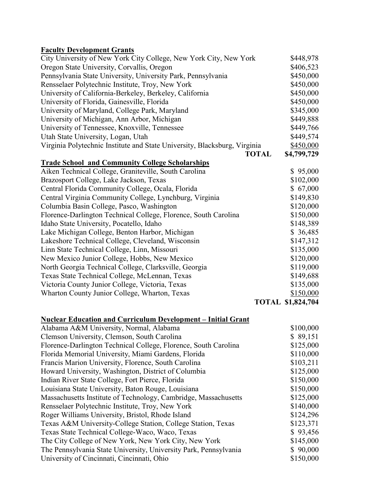| City University of New York City College, New York City, New York         | \$448,978                |
|---------------------------------------------------------------------------|--------------------------|
| Oregon State University, Corvallis, Oregon                                | \$406,523                |
| Pennsylvania State University, University Park, Pennsylvania              | \$450,000                |
| Rensselaer Polytechnic Institute, Troy, New York                          | \$450,000                |
| University of California-Berkeley, Berkeley, California                   | \$450,000                |
| University of Florida, Gainesville, Florida                               | \$450,000                |
| University of Maryland, College Park, Maryland                            | \$345,000                |
| University of Michigan, Ann Arbor, Michigan                               | \$449,888                |
| University of Tennessee, Knoxville, Tennessee                             | \$449,766                |
| Utah State University, Logan, Utah                                        | \$449,574                |
| Virginia Polytechnic Institute and State University, Blacksburg, Virginia | \$450,000                |
| <b>TOTAL</b>                                                              | \$4,799,729              |
| <b>Trade School and Community College Scholarships</b>                    |                          |
| Aiken Technical College, Graniteville, South Carolina                     | \$95,000                 |
| Brazosport College, Lake Jackson, Texas                                   | \$102,000                |
| Central Florida Community College, Ocala, Florida                         | \$67,000                 |
| Central Virginia Community College, Lynchburg, Virginia                   | \$149,830                |
| Columbia Basin College, Pasco, Washington                                 | \$120,000                |
| Florence-Darlington Technical College, Florence, South Carolina           | \$150,000                |
| Idaho State University, Pocatello, Idaho                                  | \$148,389                |
| Lake Michigan College, Benton Harbor, Michigan                            | \$36,485                 |
| Lakeshore Technical College, Cleveland, Wisconsin                         | \$147,312                |
| Linn State Technical College, Linn, Missouri                              | \$135,000                |
| New Mexico Junior College, Hobbs, New Mexico                              | \$120,000                |
| North Georgia Technical College, Clarksville, Georgia                     | \$119,000                |
| Texas State Technical College, McLennan, Texas                            | \$149,688                |
| Victoria County Junior College, Victoria, Texas                           | \$135,000                |
| Wharton County Junior College, Wharton, Texas                             | \$150,000                |
|                                                                           | <b>TOTAL \$1,824,704</b> |

# **Nuclear Education and Curriculum Development – Initial Grant**

| Alabama A&M University, Normal, Alabama                          | \$100,000 |
|------------------------------------------------------------------|-----------|
| Clemson University, Clemson, South Carolina                      | \$89,151  |
| Florence-Darlington Technical College, Florence, South Carolina  | \$125,000 |
| Florida Memorial University, Miami Gardens, Florida              | \$110,000 |
| Francis Marion University, Florence, South Carolina              | \$103,211 |
| Howard University, Washington, District of Columbia              | \$125,000 |
| Indian River State College, Fort Pierce, Florida                 | \$150,000 |
| Louisiana State University, Baton Rouge, Louisiana               | \$150,000 |
| Massachusetts Institute of Technology, Cambridge, Massachusetts  | \$125,000 |
| Rensselaer Polytechnic Institute, Troy, New York                 | \$140,000 |
| Roger Williams University, Bristol, Rhode Island                 | \$124,296 |
| Texas A&M University-College Station, College Station, Texas     | \$123,371 |
| Texas State Technical College-Waco, Waco, Texas                  | \$93,456  |
| The City College of New York, New York City, New York            | \$145,000 |
| The Pennsylvania State University, University Park, Pennsylvania | \$90,000  |
| University of Cincinnati, Cincinnati, Ohio                       | \$150,000 |